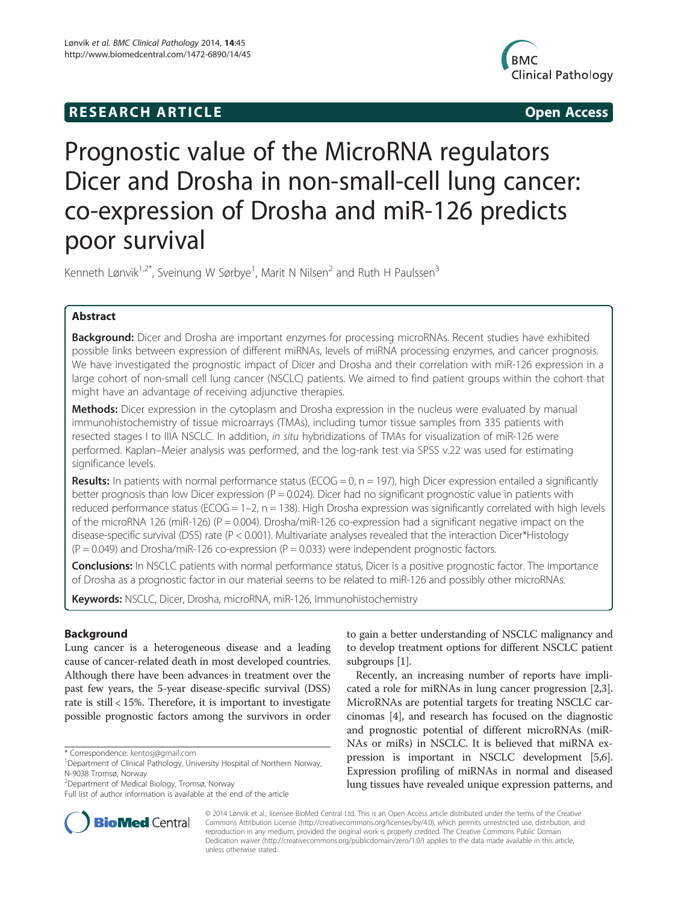# **RESEARCH ARTICLE Example 2014 12:30 The SEAR CHA RESEARCH ARTICLE**



# Prognostic value of the MicroRNA regulators Dicer and Drosha in non-small-cell lung cancer: co-expression of Drosha and miR-126 predicts poor survival

Kenneth Lønvik<sup>1,2\*</sup>, Sveinung W Sørbye<sup>1</sup>, Marit N Nilsen<sup>2</sup> and Ruth H Paulssen<sup>3</sup>

# Abstract

Background: Dicer and Drosha are important enzymes for processing microRNAs. Recent studies have exhibited possible links between expression of different miRNAs, levels of miRNA processing enzymes, and cancer prognosis. We have investigated the prognostic impact of Dicer and Drosha and their correlation with miR-126 expression in a large cohort of non-small cell lung cancer (NSCLC) patients. We aimed to find patient groups within the cohort that might have an advantage of receiving adjunctive therapies.

Methods: Dicer expression in the cytoplasm and Drosha expression in the nucleus were evaluated by manual immunohistochemistry of tissue microarrays (TMAs), including tumor tissue samples from 335 patients with resected stages I to IIIA NSCLC. In addition, in situ hybridizations of TMAs for visualization of miR-126 were performed. Kaplan–Meier analysis was performed, and the log-rank test via SPSS v.22 was used for estimating significance levels.

**Results:** In patients with normal performance status (ECOG = 0,  $n = 197$ ), high Dicer expression entailed a significantly better prognosis than low Dicer expression ( $P = 0.024$ ). Dicer had no significant prognostic value in patients with reduced performance status (ECOG = 1–2, n = 138). High Drosha expression was significantly correlated with high levels of the microRNA 126 (miR-126) (P = 0.004). Drosha/miR-126 co-expression had a significant negative impact on the disease-specific survival (DSS) rate (P < 0.001). Multivariate analyses revealed that the interaction Dicer\*Histology  $(P = 0.049)$  and Drosha/miR-126 co-expression  $(P = 0.033)$  were independent prognostic factors.

**Conclusions:** In NSCLC patients with normal performance status, Dicer is a positive prognostic factor. The importance of Drosha as a prognostic factor in our material seems to be related to miR-126 and possibly other microRNAs.

Keywords: NSCLC, Dicer, Drosha, microRNA, miR-126, Immunohistochemistry

# Background

Lung cancer is a heterogeneous disease and a leading cause of cancer-related death in most developed countries. Although there have been advances in treatment over the past few years, the 5-year disease-specific survival (DSS) rate is still < 15%. Therefore, it is important to investigate possible prognostic factors among the survivors in order

2 Department of Medical Biology, Tromsø, Norway



Recently, an increasing number of reports have implicated a role for miRNAs in lung cancer progression [[2](#page-9-0),[3](#page-9-0)]. MicroRNAs are potential targets for treating NSCLC carcinomas [\[4](#page-9-0)], and research has focused on the diagnostic and prognostic potential of different microRNAs (miR-NAs or miRs) in NSCLC. It is believed that miRNA expression is important in NSCLC development [[5](#page-9-0),[6](#page-9-0)]. Expression profiling of miRNAs in normal and diseased lung tissues have revealed unique expression patterns, and



© 2014 Lønvik et al.; licensee BioMed Central Ltd. This is an Open Access article distributed under the terms of the Creative Commons Attribution License [\(http://creativecommons.org/licenses/by/4.0\)](http://creativecommons.org/licenses/by/4.0), which permits unrestricted use, distribution, and reproduction in any medium, provided the original work is properly credited. The Creative Commons Public Domain Dedication waiver [\(http://creativecommons.org/publicdomain/zero/1.0/](http://creativecommons.org/publicdomain/zero/1.0/)) applies to the data made available in this article, unless otherwise stated.

<sup>\*</sup> Correspondence: [kentosj@gmail.com](mailto:kentosj@gmail.com) <sup>1</sup>

Department of Clinical Pathology, University Hospital of Northern Norway, N-9038 Tromsø, Norway

Full list of author information is available at the end of the article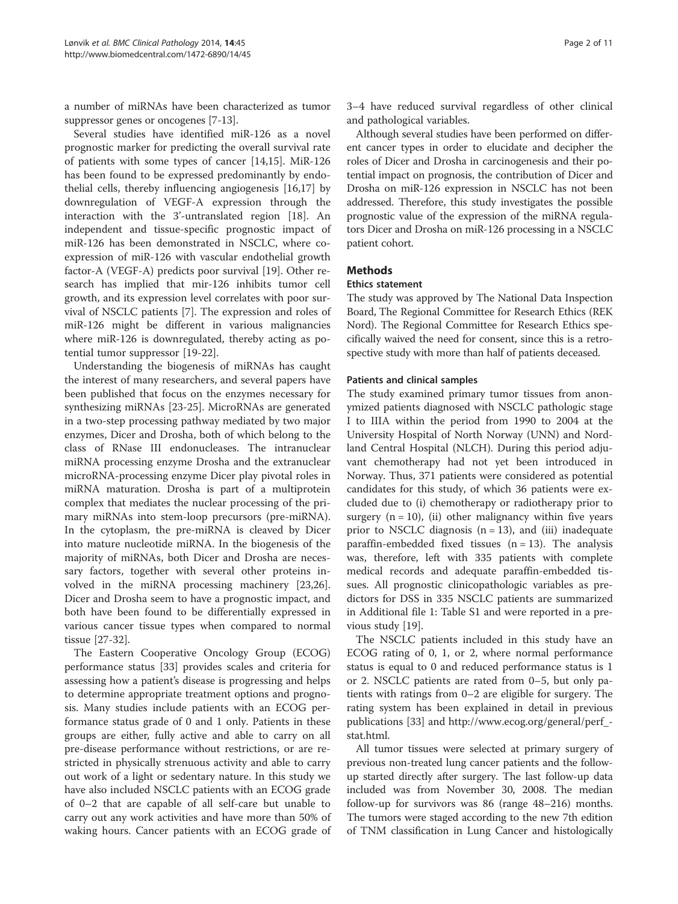a number of miRNAs have been characterized as tumor suppressor genes or oncogenes [\[7](#page-9-0)-[13](#page-9-0)].

Several studies have identified miR-126 as a novel prognostic marker for predicting the overall survival rate of patients with some types of cancer [[14](#page-9-0),[15](#page-9-0)]. MiR-126 has been found to be expressed predominantly by endothelial cells, thereby influencing angiogenesis [\[16,17\]](#page-9-0) by downregulation of VEGF-A expression through the interaction with the 3'-untranslated region [\[18](#page-9-0)]. An independent and tissue-specific prognostic impact of miR-126 has been demonstrated in NSCLC, where coexpression of miR-126 with vascular endothelial growth factor-A (VEGF-A) predicts poor survival [[19](#page-9-0)]. Other research has implied that mir-126 inhibits tumor cell growth, and its expression level correlates with poor survival of NSCLC patients [[7\]](#page-9-0). The expression and roles of miR-126 might be different in various malignancies where miR-126 is downregulated, thereby acting as potential tumor suppressor [[19-22\]](#page-9-0).

Understanding the biogenesis of miRNAs has caught the interest of many researchers, and several papers have been published that focus on the enzymes necessary for synthesizing miRNAs [\[23-25](#page-9-0)]. MicroRNAs are generated in a two-step processing pathway mediated by two major enzymes, Dicer and Drosha, both of which belong to the class of RNase III endonucleases. The intranuclear miRNA processing enzyme Drosha and the extranuclear microRNA-processing enzyme Dicer play pivotal roles in miRNA maturation. Drosha is part of a multiprotein complex that mediates the nuclear processing of the primary miRNAs into stem-loop precursors (pre-miRNA). In the cytoplasm, the pre-miRNA is cleaved by Dicer into mature nucleotide miRNA. In the biogenesis of the majority of miRNAs, both Dicer and Drosha are necessary factors, together with several other proteins involved in the miRNA processing machinery [\[23,26](#page-9-0)]. Dicer and Drosha seem to have a prognostic impact, and both have been found to be differentially expressed in various cancer tissue types when compared to normal tissue [[27-32](#page-9-0)].

The Eastern Cooperative Oncology Group (ECOG) performance status [[33](#page-9-0)] provides scales and criteria for assessing how a patient's disease is progressing and helps to determine appropriate treatment options and prognosis. Many studies include patients with an ECOG performance status grade of 0 and 1 only. Patients in these groups are either, fully active and able to carry on all pre-disease performance without restrictions, or are restricted in physically strenuous activity and able to carry out work of a light or sedentary nature. In this study we have also included NSCLC patients with an ECOG grade of 0–2 that are capable of all self-care but unable to carry out any work activities and have more than 50% of waking hours. Cancer patients with an ECOG grade of 3–4 have reduced survival regardless of other clinical and pathological variables.

Although several studies have been performed on different cancer types in order to elucidate and decipher the roles of Dicer and Drosha in carcinogenesis and their potential impact on prognosis, the contribution of Dicer and Drosha on miR-126 expression in NSCLC has not been addressed. Therefore, this study investigates the possible prognostic value of the expression of the miRNA regulators Dicer and Drosha on miR-126 processing in a NSCLC patient cohort.

# Methods

#### Ethics statement

The study was approved by The National Data Inspection Board, The Regional Committee for Research Ethics (REK Nord). The Regional Committee for Research Ethics specifically waived the need for consent, since this is a retrospective study with more than half of patients deceased.

## Patients and clinical samples

The study examined primary tumor tissues from anonymized patients diagnosed with NSCLC pathologic stage I to IIIA within the period from 1990 to 2004 at the University Hospital of North Norway (UNN) and Nordland Central Hospital (NLCH). During this period adjuvant chemotherapy had not yet been introduced in Norway. Thus, 371 patients were considered as potential candidates for this study, of which 36 patients were excluded due to (i) chemotherapy or radiotherapy prior to surgery  $(n = 10)$ , (ii) other malignancy within five years prior to NSCLC diagnosis  $(n = 13)$ , and  $(iii)$  inadequate paraffin-embedded fixed tissues  $(n = 13)$ . The analysis was, therefore, left with 335 patients with complete medical records and adequate paraffin-embedded tissues. All prognostic clinicopathologic variables as predictors for DSS in 335 NSCLC patients are summarized in Additional file [1](#page-8-0): Table S1 and were reported in a previous study [[19\]](#page-9-0).

The NSCLC patients included in this study have an ECOG rating of 0, 1, or 2, where normal performance status is equal to 0 and reduced performance status is 1 or 2. NSCLC patients are rated from 0–5, but only patients with ratings from 0–2 are eligible for surgery. The rating system has been explained in detail in previous publications [\[33](#page-9-0)] and [http://www.ecog.org/general/perf\\_](http://www.ecog.org/general/perf_stat.html) [stat.html.](http://www.ecog.org/general/perf_stat.html)

All tumor tissues were selected at primary surgery of previous non-treated lung cancer patients and the followup started directly after surgery. The last follow-up data included was from November 30, 2008. The median follow-up for survivors was 86 (range 48–216) months. The tumors were staged according to the new 7th edition of TNM classification in Lung Cancer and histologically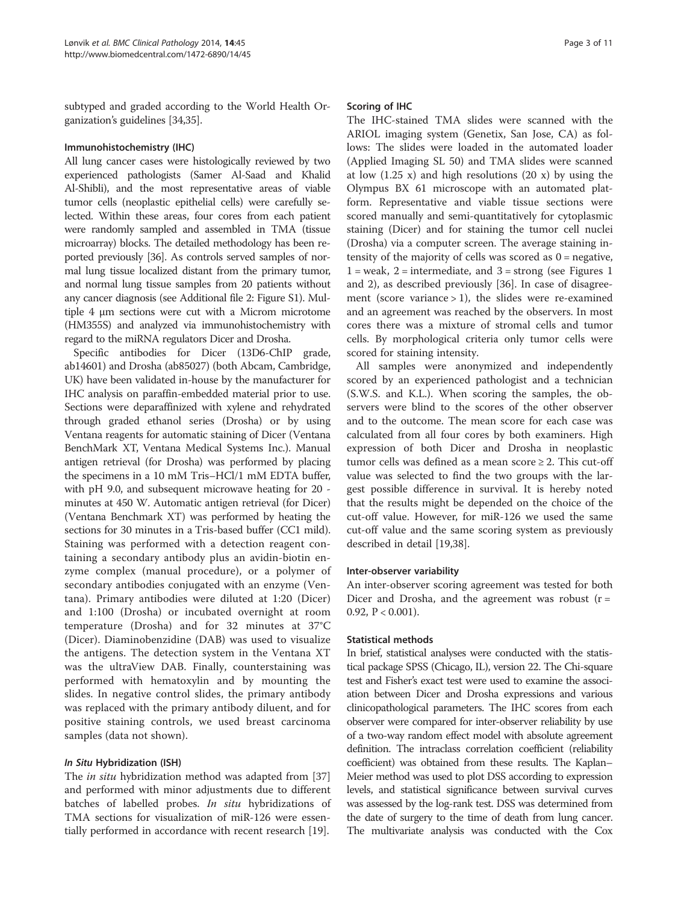subtyped and graded according to the World Health Organization's guidelines [\[34,35\]](#page-9-0).

# Immunohistochemistry (IHC)

All lung cancer cases were histologically reviewed by two experienced pathologists (Samer Al-Saad and Khalid Al-Shibli), and the most representative areas of viable tumor cells (neoplastic epithelial cells) were carefully selected. Within these areas, four cores from each patient were randomly sampled and assembled in TMA (tissue microarray) blocks. The detailed methodology has been reported previously [\[36\]](#page-9-0). As controls served samples of normal lung tissue localized distant from the primary tumor, and normal lung tissue samples from 20 patients without any cancer diagnosis (see Additional file [2](#page-8-0): Figure S1). Multiple 4 μm sections were cut with a Microm microtome (HM355S) and analyzed via immunohistochemistry with regard to the miRNA regulators Dicer and Drosha.

Specific antibodies for Dicer (13D6-ChIP grade, ab14601) and Drosha (ab85027) (both Abcam, Cambridge, UK) have been validated in-house by the manufacturer for IHC analysis on paraffin-embedded material prior to use. Sections were deparaffinized with xylene and rehydrated through graded ethanol series (Drosha) or by using Ventana reagents for automatic staining of Dicer (Ventana BenchMark XT, Ventana Medical Systems Inc.). Manual antigen retrieval (for Drosha) was performed by placing the specimens in a 10 mM Tris–HCl/1 mM EDTA buffer, with pH 9.0, and subsequent microwave heating for 20 minutes at 450 W. Automatic antigen retrieval (for Dicer) (Ventana Benchmark XT) was performed by heating the sections for 30 minutes in a Tris-based buffer (CC1 mild). Staining was performed with a detection reagent containing a secondary antibody plus an avidin-biotin enzyme complex (manual procedure), or a polymer of secondary antibodies conjugated with an enzyme (Ventana). Primary antibodies were diluted at 1:20 (Dicer) and 1:100 (Drosha) or incubated overnight at room temperature (Drosha) and for 32 minutes at 37°C (Dicer). Diaminobenzidine (DAB) was used to visualize the antigens. The detection system in the Ventana XT was the ultraView DAB. Finally, counterstaining was performed with hematoxylin and by mounting the slides. In negative control slides, the primary antibody was replaced with the primary antibody diluent, and for positive staining controls, we used breast carcinoma samples (data not shown).

#### In Situ Hybridization (ISH)

The *in situ* hybridization method was adapted from [[37](#page-9-0)] and performed with minor adjustments due to different batches of labelled probes. In situ hybridizations of TMA sections for visualization of miR-126 were essentially performed in accordance with recent research [\[19\]](#page-9-0).

#### Scoring of IHC

The IHC-stained TMA slides were scanned with the ARIOL imaging system (Genetix, San Jose, CA) as follows: The slides were loaded in the automated loader (Applied Imaging SL 50) and TMA slides were scanned at low  $(1.25 \text{ x})$  and high resolutions  $(20 \text{ x})$  by using the Olympus BX 61 microscope with an automated platform. Representative and viable tissue sections were scored manually and semi-quantitatively for cytoplasmic staining (Dicer) and for staining the tumor cell nuclei (Drosha) via a computer screen. The average staining intensity of the majority of cells was scored as  $0 =$  negative,  $1 =$  weak,  $2 =$  intermediate, and  $3 =$  strong (see Figures [1](#page-3-0)) and [2](#page-4-0)), as described previously [\[36\]](#page-9-0). In case of disagreement (score variance  $> 1$ ), the slides were re-examined and an agreement was reached by the observers. In most cores there was a mixture of stromal cells and tumor cells. By morphological criteria only tumor cells were scored for staining intensity.

All samples were anonymized and independently scored by an experienced pathologist and a technician (S.W.S. and K.L.). When scoring the samples, the observers were blind to the scores of the other observer and to the outcome. The mean score for each case was calculated from all four cores by both examiners. High expression of both Dicer and Drosha in neoplastic tumor cells was defined as a mean score  $\geq 2$ . This cut-off value was selected to find the two groups with the largest possible difference in survival. It is hereby noted that the results might be depended on the choice of the cut-off value. However, for miR-126 we used the same cut-off value and the same scoring system as previously described in detail [[19,38\]](#page-9-0).

#### Inter-observer variability

An inter-observer scoring agreement was tested for both Dicer and Drosha, and the agreement was robust  $(r =$ 0.92,  $P < 0.001$ ).

#### Statistical methods

In brief, statistical analyses were conducted with the statistical package SPSS (Chicago, IL), version 22. The Chi-square test and Fisher's exact test were used to examine the association between Dicer and Drosha expressions and various clinicopathological parameters. The IHC scores from each observer were compared for inter-observer reliability by use of a two-way random effect model with absolute agreement definition. The intraclass correlation coefficient (reliability coefficient) was obtained from these results. The Kaplan– Meier method was used to plot DSS according to expression levels, and statistical significance between survival curves was assessed by the log-rank test. DSS was determined from the date of surgery to the time of death from lung cancer. The multivariate analysis was conducted with the Cox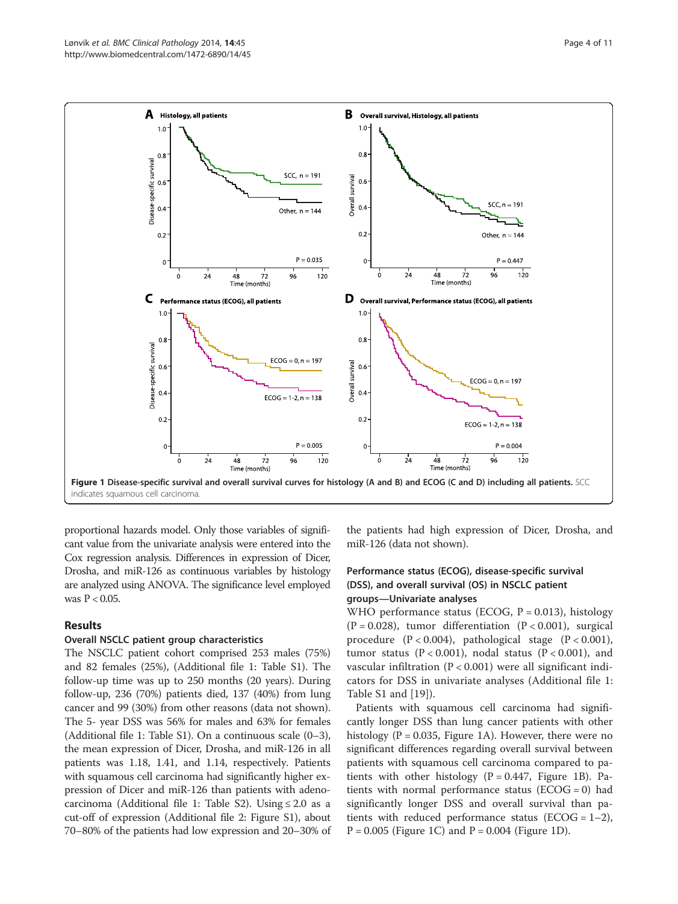<span id="page-3-0"></span>

proportional hazards model. Only those variables of significant value from the univariate analysis were entered into the Cox regression analysis. Differences in expression of Dicer, Drosha, and miR-126 as continuous variables by histology are analyzed using ANOVA. The significance level employed was  $P < 0.05$ .

## Results

# Overall NSCLC patient group characteristics

The NSCLC patient cohort comprised 253 males (75%) and 82 females (25%), (Additional file [1](#page-8-0): Table S1). The follow-up time was up to 250 months (20 years). During follow-up, 236 (70%) patients died, 137 (40%) from lung cancer and 99 (30%) from other reasons (data not shown). The 5- year DSS was 56% for males and 63% for females (Additional file [1](#page-8-0): Table S1). On a continuous scale (0–3), the mean expression of Dicer, Drosha, and miR-126 in all patients was 1.18, 1.41, and 1.14, respectively. Patients with squamous cell carcinoma had significantly higher expression of Dicer and miR-126 than patients with adeno-carcinoma (Additional file [1:](#page-8-0) Table S2). Using  $\leq 2.0$  as a cut-off of expression (Additional file [2](#page-8-0): Figure S1), about 70–80% of the patients had low expression and 20–30% of

the patients had high expression of Dicer, Drosha, and miR-126 (data not shown).

# Performance status (ECOG), disease-specific survival (DSS), and overall survival (OS) in NSCLC patient groups—Univariate analyses

WHO performance status (ECOG,  $P = 0.013$ ), histology  $(P = 0.028)$ , tumor differentiation  $(P < 0.001)$ , surgical procedure (P < 0.004), pathological stage (P < 0.001), tumor status (P < 0.001), nodal status (P < 0.001), and vascular infiltration ( $P < 0.001$ ) were all significant indicators for DSS in univariate analyses (Additional file [1](#page-8-0): Table S1 and [[19\]](#page-9-0)).

Patients with squamous cell carcinoma had significantly longer DSS than lung cancer patients with other histology ( $P = 0.035$ , Figure 1A). However, there were no significant differences regarding overall survival between patients with squamous cell carcinoma compared to patients with other histology ( $P = 0.447$ , Figure 1B). Patients with normal performance status ( $ECOG = 0$ ) had significantly longer DSS and overall survival than patients with reduced performance status ( $ECOG = 1-2$ ),  $P = 0.005$  (Figure 1C) and  $P = 0.004$  (Figure 1D).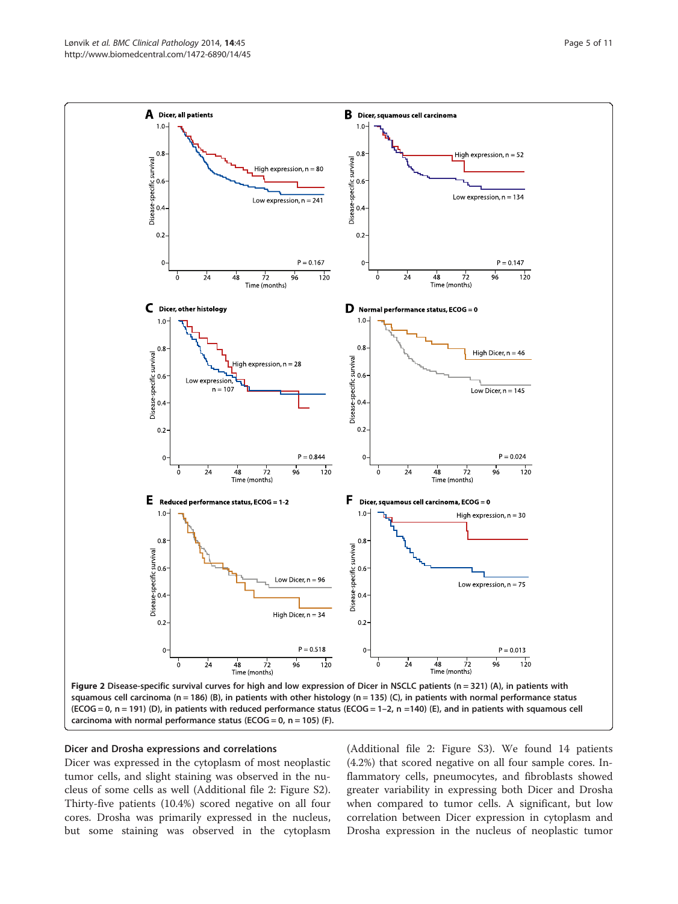<span id="page-4-0"></span>

#### Dicer and Drosha expressions and correlations

Dicer was expressed in the cytoplasm of most neoplastic tumor cells, and slight staining was observed in the nucleus of some cells as well (Additional file [2](#page-8-0): Figure S2). Thirty-five patients (10.4%) scored negative on all four cores. Drosha was primarily expressed in the nucleus, but some staining was observed in the cytoplasm (Additional file [2](#page-8-0): Figure S3). We found 14 patients (4.2%) that scored negative on all four sample cores. Inflammatory cells, pneumocytes, and fibroblasts showed greater variability in expressing both Dicer and Drosha when compared to tumor cells. A significant, but low correlation between Dicer expression in cytoplasm and Drosha expression in the nucleus of neoplastic tumor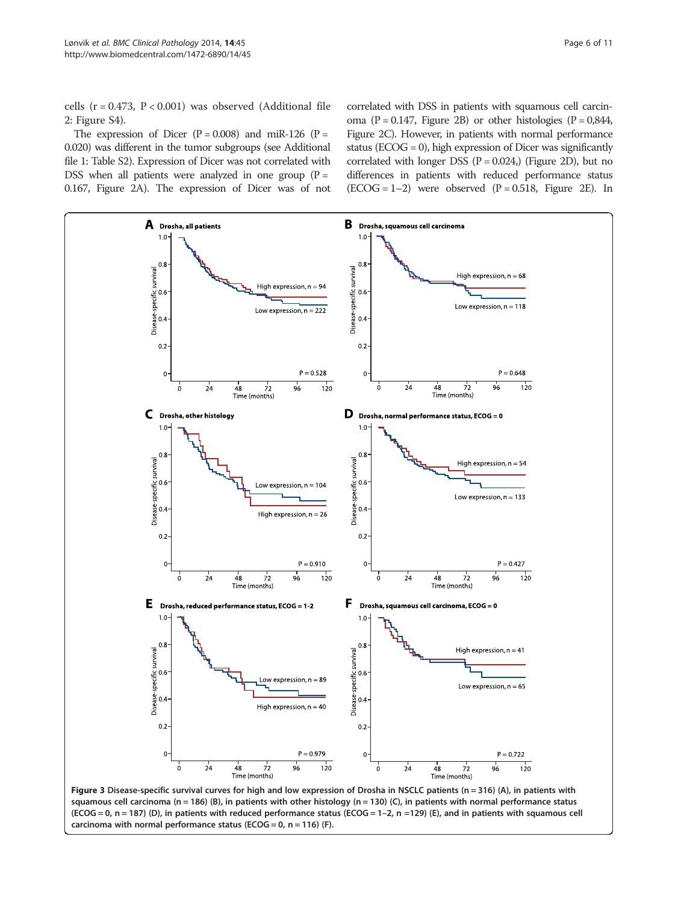<span id="page-5-0"></span>cells ( $r = 0.473$ ,  $P < 0.001$ ) was observed (Additional file [2:](#page-8-0) Figure S4).

The expression of Dicer  $(P = 0.008)$  and miR-126  $(P = 0.008)$ 0.020) was different in the tumor subgroups (see Additional file [1:](#page-8-0) Table S2). Expression of Dicer was not correlated with DSS when all patients were analyzed in one group  $(P =$ 0.167, Figure [2](#page-4-0)A). The expression of Dicer was of not

carcinoma with normal performance status (ECOG =  $0$ , n = 116) (F).

correlated with DSS in patients with squamous cell carcinoma ( $P = 0.147$ , Figure [2B](#page-4-0)) or other histologies ( $P = 0.844$ , Figure [2](#page-4-0)C). However, in patients with normal performance status ( $ECOG = 0$ ), high expression of Dicer was significantly correlated with longer DSS  $(P = 0.024)$  (Figure [2D](#page-4-0)), but no differences in patients with reduced performance status  $(ECOG = 1-2)$  were observed  $(P = 0.518,$  Figure [2E](#page-4-0)). In

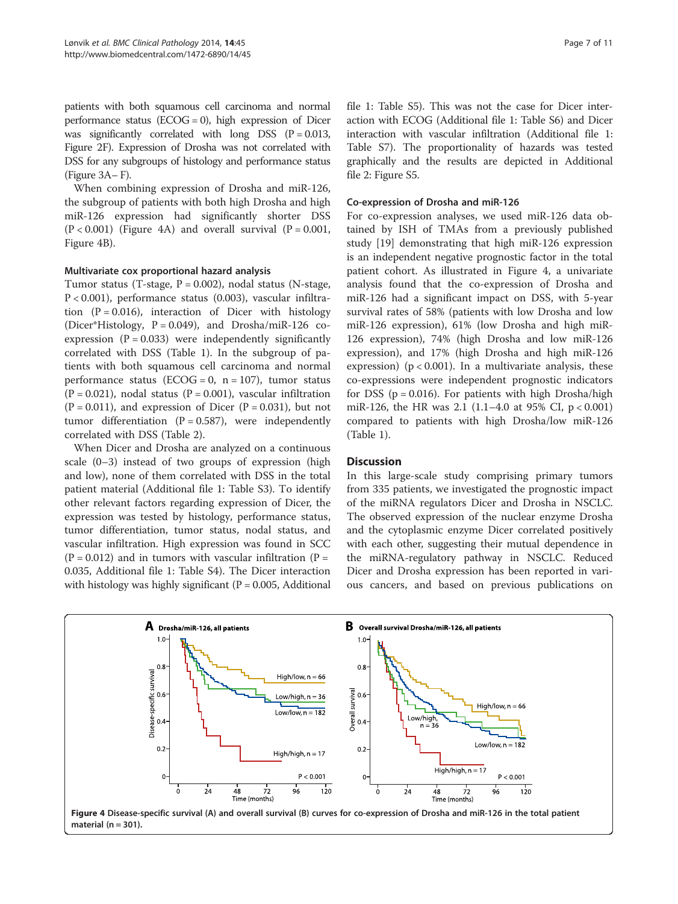<span id="page-6-0"></span>patients with both squamous cell carcinoma and normal performance status ( $ECOG = 0$ ), high expression of Dicer was significantly correlated with long DSS  $(P = 0.013,$ Figure [2F](#page-4-0)). Expression of Drosha was not correlated with DSS for any subgroups of histology and performance status (Figure [3](#page-5-0)A– F).

When combining expression of Drosha and miR-126, the subgroup of patients with both high Drosha and high miR-126 expression had significantly shorter DSS  $(P < 0.001)$  (Figure 4A) and overall survival  $(P = 0.001)$ , Figure 4B).

#### Multivariate cox proportional hazard analysis

Tumor status (T-stage,  $P = 0.002$ ), nodal status (N-stage, P < 0.001), performance status (0.003), vascular infiltration  $(P = 0.016)$ , interaction of Dicer with histology (Dicer\*Histology, P = 0.049), and Drosha/miR-126 coexpression  $(P = 0.033)$  were independently significantly correlated with DSS (Table [1](#page-7-0)). In the subgroup of patients with both squamous cell carcinoma and normal performance status (ECOG = 0,  $n = 107$ ), tumor status  $(P = 0.021)$ , nodal status  $(P = 0.001)$ , vascular infiltration  $(P = 0.011)$ , and expression of Dicer  $(P = 0.031)$ , but not tumor differentiation ( $P = 0.587$ ), were independently correlated with DSS (Table [2\)](#page-7-0).

When Dicer and Drosha are analyzed on a continuous scale (0–3) instead of two groups of expression (high and low), none of them correlated with DSS in the total patient material (Additional file [1](#page-8-0): Table S3). To identify other relevant factors regarding expression of Dicer, the expression was tested by histology, performance status, tumor differentiation, tumor status, nodal status, and vascular infiltration. High expression was found in SCC  $(P = 0.012)$  and in tumors with vascular infiltration  $(P = 0.012)$ 0.035, Additional file [1](#page-8-0): Table S4). The Dicer interaction with histology was highly significant ( $P = 0.005$ , Additional file [1:](#page-8-0) Table S5). This was not the case for Dicer interaction with ECOG (Additional file [1](#page-8-0): Table S6) and Dicer interaction with vascular infiltration (Additional file [1](#page-8-0): Table S7). The proportionality of hazards was tested graphically and the results are depicted in Additional file [2](#page-8-0): Figure S5.

#### Co-expression of Drosha and miR-126

For co-expression analyses, we used miR-126 data obtained by ISH of TMAs from a previously published study [[19\]](#page-9-0) demonstrating that high miR-126 expression is an independent negative prognostic factor in the total patient cohort. As illustrated in Figure 4, a univariate analysis found that the co-expression of Drosha and miR-126 had a significant impact on DSS, with 5-year survival rates of 58% (patients with low Drosha and low miR-126 expression), 61% (low Drosha and high miR-126 expression), 74% (high Drosha and low miR-126 expression), and 17% (high Drosha and high miR-126 expression) ( $p < 0.001$ ). In a multivariate analysis, these co-expressions were independent prognostic indicators for DSS ( $p = 0.016$ ). For patients with high Drosha/high miR-126, the HR was 2.1 (1.1–4.0 at 95% CI, p < 0.001) compared to patients with high Drosha/low miR-126 (Table [1\)](#page-7-0).

#### **Discussion**

In this large-scale study comprising primary tumors from 335 patients, we investigated the prognostic impact of the miRNA regulators Dicer and Drosha in NSCLC. The observed expression of the nuclear enzyme Drosha and the cytoplasmic enzyme Dicer correlated positively with each other, suggesting their mutual dependence in the miRNA-regulatory pathway in NSCLC. Reduced Dicer and Drosha expression has been reported in various cancers, and based on previous publications on



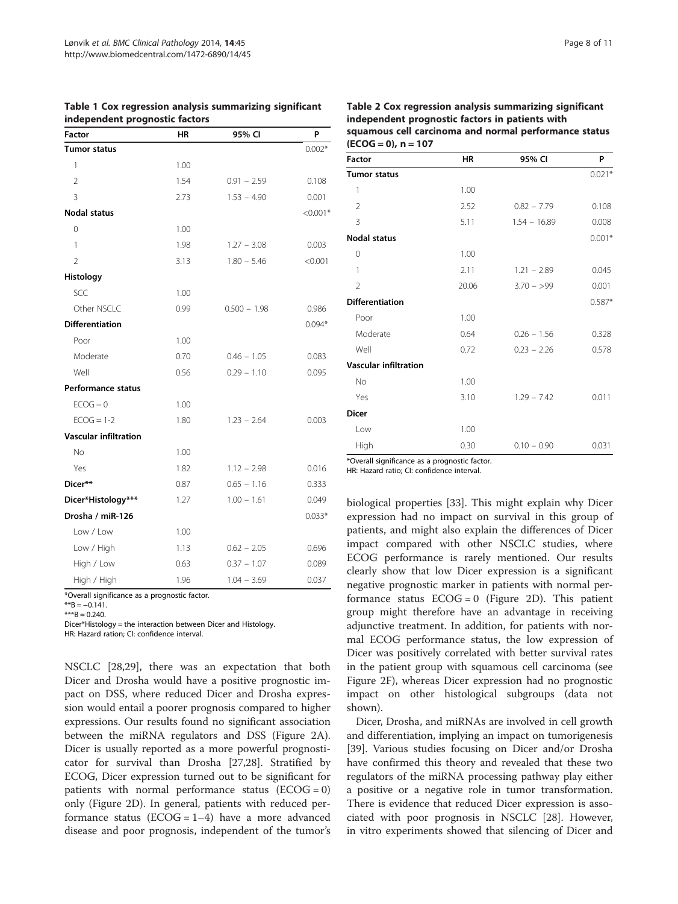| Factor                       | ΗR   | 95% CI         | P          |
|------------------------------|------|----------------|------------|
| <b>Tumor status</b>          |      |                | $0.002*$   |
| 1                            | 1.00 |                |            |
| $\overline{2}$               | 1.54 | $0.91 - 2.59$  | 0.108      |
| 3                            | 2.73 | $1.53 - 4.90$  | 0.001      |
| <b>Nodal status</b>          |      |                | $< 0.001*$ |
| 0                            | 1.00 |                |            |
| 1                            | 1.98 | $1.27 - 3.08$  | 0.003      |
| $\overline{2}$               | 3.13 | $1.80 - 5.46$  | < 0.001    |
| Histology                    |      |                |            |
| SCC                          | 1.00 |                |            |
| Other NSCLC                  | 0.99 | $0.500 - 1.98$ | 0.986      |
| <b>Differentiation</b>       |      |                | $0.094*$   |
| Poor                         | 1.00 |                |            |
| Moderate                     | 0.70 | $0.46 - 1.05$  | 0.083      |
| Well                         | 0.56 | $0.29 - 1.10$  | 0.095      |
| <b>Performance status</b>    |      |                |            |
| $ECOG = 0$                   | 1.00 |                |            |
| $ECOG = 1-2$                 | 1.80 | $1.23 - 2.64$  | 0.003      |
| <b>Vascular infiltration</b> |      |                |            |
| No                           | 1.00 |                |            |
| Yes                          | 1.82 | $1.12 - 2.98$  | 0.016      |
| Dicer**                      | 0.87 | $0.65 - 1.16$  | 0.333      |
| Dicer*Histology***           | 1.27 | $1.00 - 1.61$  | 0.049      |
| Drosha / miR-126             |      |                | $0.033*$   |
| Low / Low                    | 1.00 |                |            |
| Low / High                   | 1.13 | $0.62 - 2.05$  | 0.696      |
| High / Low                   | 0.63 | $0.37 - 1.07$  | 0.089      |
| High / High                  | 1.96 | $1.04 - 3.69$  | 0.037      |

<span id="page-7-0"></span>Table 1 Cox regression analysis summarizing significant independent prognostic factors

\*Overall significance as a prognostic factor.

 $**B = -0.141$ .

 $***B = 0.240.$ 

Dicer\*Histology = the interaction between Dicer and Histology.

HR: Hazard ration; CI: confidence interval.

NSCLC [[28](#page-9-0),[29](#page-9-0)], there was an expectation that both Dicer and Drosha would have a positive prognostic impact on DSS, where reduced Dicer and Drosha expression would entail a poorer prognosis compared to higher expressions. Our results found no significant association between the miRNA regulators and DSS (Figure [2](#page-4-0)A). Dicer is usually reported as a more powerful prognosticator for survival than Drosha [[27,28\]](#page-9-0). Stratified by ECOG, Dicer expression turned out to be significant for patients with normal performance status  $(ECOG = 0)$ only (Figure [2D](#page-4-0)). In general, patients with reduced performance status ( $ECOG = 1-4$ ) have a more advanced disease and poor prognosis, independent of the tumor's

## Table 2 Cox regression analysis summarizing significant independent prognostic factors in patients with squamous cell carcinoma and normal performance status

| $(ECOG = 0)$ , n = 107       |           |                |          |  |
|------------------------------|-----------|----------------|----------|--|
| Factor                       | <b>HR</b> | 95% CI         | P        |  |
| <b>Tumor status</b>          |           |                | $0.021*$ |  |
| 1                            | 1.00      |                |          |  |
| $\overline{2}$               | 2.52      | $0.82 - 7.79$  | 0.108    |  |
| $\overline{3}$               | 5.11      | $1.54 - 16.89$ | 0.008    |  |
| <b>Nodal status</b>          |           |                | $0.001*$ |  |
| 0                            | 1.00      |                |          |  |
| 1                            | 2.11      | $1.21 - 2.89$  | 0.045    |  |
| $\mathfrak{D}$               | 20.06     | $3.70 - 99$    | 0.001    |  |
| <b>Differentiation</b>       |           |                | $0.587*$ |  |
| Poor                         | 1.00      |                |          |  |
| Moderate                     | 0.64      | $0.26 - 1.56$  | 0.328    |  |
| Well                         | 0.72      | $0.23 - 2.26$  | 0.578    |  |
| <b>Vascular infiltration</b> |           |                |          |  |
| No                           | 1.00      |                |          |  |
| Yes                          | 3.10      | $1.29 - 7.42$  | 0.011    |  |
| <b>Dicer</b>                 |           |                |          |  |
| Low                          | 1.00      |                |          |  |
| High                         | 0.30      | $0.10 - 0.90$  | 0.031    |  |

\*Overall significance as a prognostic factor.

HR: Hazard ratio; CI: confidence interval.

biological properties [\[33](#page-9-0)]. This might explain why Dicer expression had no impact on survival in this group of patients, and might also explain the differences of Dicer impact compared with other NSCLC studies, where ECOG performance is rarely mentioned. Our results clearly show that low Dicer expression is a significant negative prognostic marker in patients with normal performance status  $ECOG = 0$  (Figure [2](#page-4-0)D). This patient group might therefore have an advantage in receiving adjunctive treatment. In addition, for patients with normal ECOG performance status, the low expression of Dicer was positively correlated with better survival rates in the patient group with squamous cell carcinoma (see Figure [2](#page-4-0)F), whereas Dicer expression had no prognostic impact on other histological subgroups (data not shown).

Dicer, Drosha, and miRNAs are involved in cell growth and differentiation, implying an impact on tumorigenesis [[39\]](#page-9-0). Various studies focusing on Dicer and/or Drosha have confirmed this theory and revealed that these two regulators of the miRNA processing pathway play either a positive or a negative role in tumor transformation. There is evidence that reduced Dicer expression is associated with poor prognosis in NSCLC [\[28\]](#page-9-0). However, in vitro experiments showed that silencing of Dicer and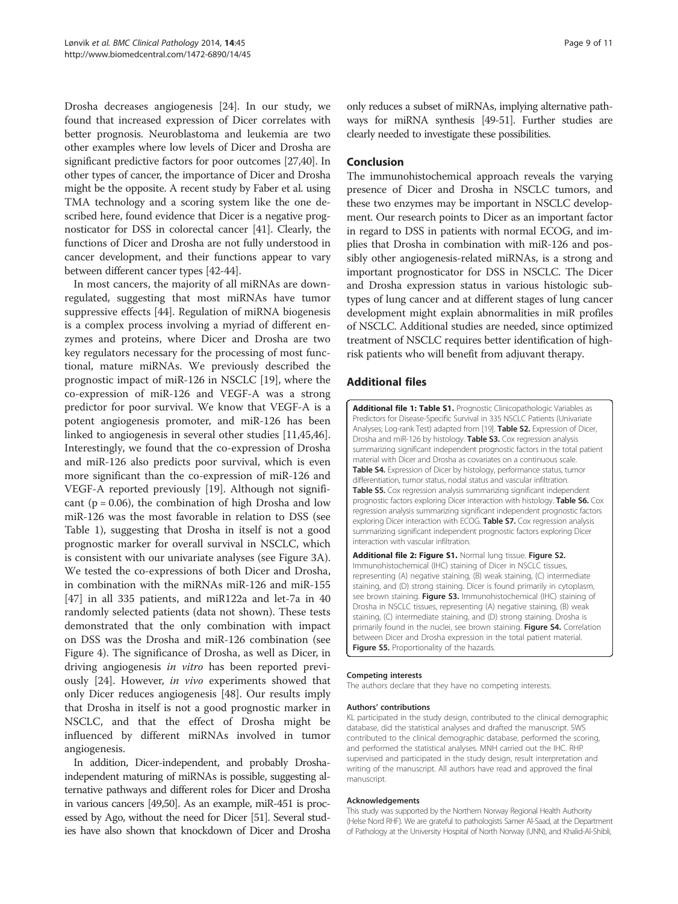<span id="page-8-0"></span>Drosha decreases angiogenesis [[24](#page-9-0)]. In our study, we found that increased expression of Dicer correlates with better prognosis. Neuroblastoma and leukemia are two other examples where low levels of Dicer and Drosha are significant predictive factors for poor outcomes [[27](#page-9-0)[,40\]](#page-10-0). In other types of cancer, the importance of Dicer and Drosha might be the opposite. A recent study by Faber et al. using TMA technology and a scoring system like the one described here, found evidence that Dicer is a negative prognosticator for DSS in colorectal cancer [\[41\]](#page-10-0). Clearly, the functions of Dicer and Drosha are not fully understood in cancer development, and their functions appear to vary between different cancer types [[42-44\]](#page-10-0).

In most cancers, the majority of all miRNAs are downregulated, suggesting that most miRNAs have tumor suppressive effects [[44](#page-10-0)]. Regulation of miRNA biogenesis is a complex process involving a myriad of different enzymes and proteins, where Dicer and Drosha are two key regulators necessary for the processing of most functional, mature miRNAs. We previously described the prognostic impact of miR-126 in NSCLC [[19\]](#page-9-0), where the co-expression of miR-126 and VEGF-A was a strong predictor for poor survival. We know that VEGF-A is a potent angiogenesis promoter, and miR-126 has been linked to angiogenesis in several other studies [\[11](#page-9-0)[,45,46](#page-10-0)]. Interestingly, we found that the co-expression of Drosha and miR-126 also predicts poor survival, which is even more significant than the co-expression of miR-126 and VEGF-A reported previously [\[19](#page-9-0)]. Although not significant ( $p = 0.06$ ), the combination of high Drosha and low miR-126 was the most favorable in relation to DSS (see Table [1\)](#page-7-0), suggesting that Drosha in itself is not a good prognostic marker for overall survival in NSCLC, which is consistent with our univariate analyses (see Figure [3](#page-5-0)A). We tested the co-expressions of both Dicer and Drosha, in combination with the miRNAs miR-126 and miR-155 [[47\]](#page-10-0) in all 335 patients, and miR122a and let-7a in 40 randomly selected patients (data not shown). These tests demonstrated that the only combination with impact on DSS was the Drosha and miR-126 combination (see Figure [4](#page-6-0)). The significance of Drosha, as well as Dicer, in driving angiogenesis in vitro has been reported previously [\[24\]](#page-9-0). However, in vivo experiments showed that only Dicer reduces angiogenesis [\[48](#page-10-0)]. Our results imply that Drosha in itself is not a good prognostic marker in NSCLC, and that the effect of Drosha might be influenced by different miRNAs involved in tumor angiogenesis.

In addition, Dicer-independent, and probably Droshaindependent maturing of miRNAs is possible, suggesting alternative pathways and different roles for Dicer and Drosha in various cancers [[49,50](#page-10-0)]. As an example, miR-451 is processed by Ago, without the need for Dicer [\[51](#page-10-0)]. Several studies have also shown that knockdown of Dicer and Drosha only reduces a subset of miRNAs, implying alternative pathways for miRNA synthesis [\[49](#page-10-0)-[51\]](#page-10-0). Further studies are clearly needed to investigate these possibilities.

## Conclusion

The immunohistochemical approach reveals the varying presence of Dicer and Drosha in NSCLC tumors, and these two enzymes may be important in NSCLC development. Our research points to Dicer as an important factor in regard to DSS in patients with normal ECOG, and implies that Drosha in combination with miR-126 and possibly other angiogenesis-related miRNAs, is a strong and important prognosticator for DSS in NSCLC. The Dicer and Drosha expression status in various histologic subtypes of lung cancer and at different stages of lung cancer development might explain abnormalities in miR profiles of NSCLC. Additional studies are needed, since optimized treatment of NSCLC requires better identification of highrisk patients who will benefit from adjuvant therapy.

## Additional files

[Additional file 1: Table S1.](http://www.biomedcentral.com/content/supplementary/1472-6890-14-45-S1.pdf) Prognostic Clinicopathologic Variables as Predictors for Disease-Specific Survival in 335 NSCLC Patients (Univariate Analyses; Log-rank Test) adapted from [\[19](#page-9-0)]. Table S2. Expression of Dicer, Drosha and miR-126 by histology. Table S3. Cox regression analysis summarizing significant independent prognostic factors in the total patient material with Dicer and Drosha as covariates on a continuous scale. Table S4. Expression of Dicer by histology, performance status, tumor differentiation, tumor status, nodal status and vascular infiltration. Table S5. Cox regression analysis summarizing significant independent prognostic factors exploring Dicer interaction with histology. Table S6. Cox regression analysis summarizing significant independent prognostic factors exploring Dicer interaction with ECOG. Table S7. Cox regression analysis summarizing significant independent prognostic factors exploring Dicer interaction with vascular infiltration.

[Additional file 2: Figure S1.](http://www.biomedcentral.com/content/supplementary/1472-6890-14-45-S2.pdf) Normal lung tissue. Figure S2. Immunohistochemical (IHC) staining of Dicer in NSCLC tissues, representing (A) negative staining, (B) weak staining, (C) intermediate staining, and (D) strong staining. Dicer is found primarily in cytoplasm, see brown staining. Figure S3. Immunohistochemical (IHC) staining of Drosha in NSCLC tissues, representing (A) negative staining, (B) weak staining, (C) intermediate staining, and (D) strong staining. Drosha is primarily found in the nuclei, see brown staining. Figure S4. Correlation between Dicer and Drosha expression in the total patient material. Figure S5. Proportionality of the hazards.

#### Competing interests

The authors declare that they have no competing interests.

#### Authors' contributions

KL participated in the study design, contributed to the clinical demographic database, did the statistical analyses and drafted the manuscript. SWS contributed to the clinical demographic database, performed the scoring, and performed the statistical analyses. MNH carried out the IHC. RHP supervised and participated in the study design, result interpretation and writing of the manuscript. All authors have read and approved the final manuscript.

#### Acknowledgements

This study was supported by the Northern Norway Regional Health Authority (Helse Nord RHF). We are grateful to pathologists Samer Al-Saad, at the Department of Pathology at the University Hospital of North Norway (UNN), and Khalid-Al-Shibli,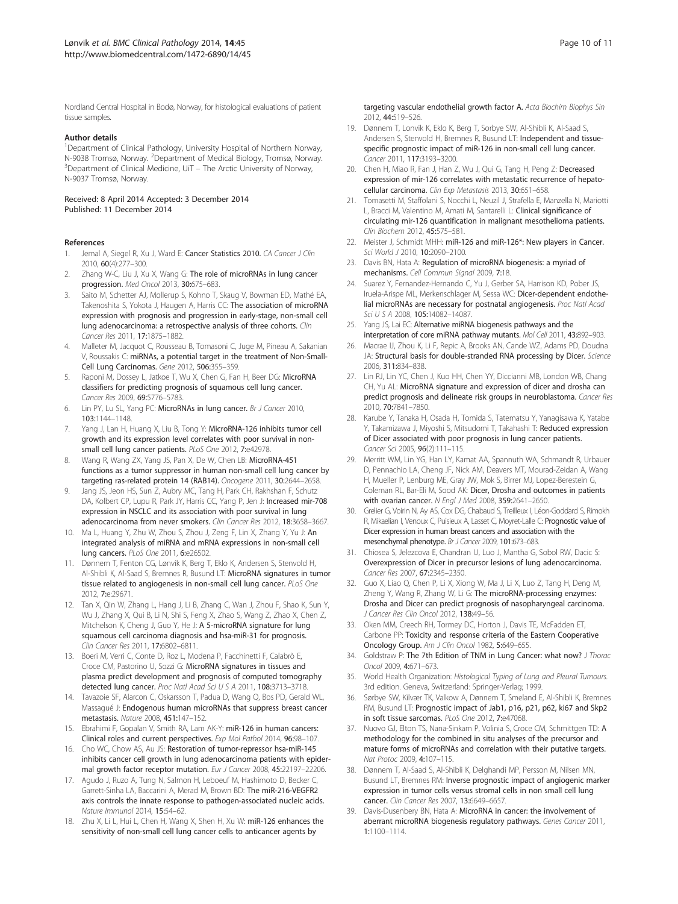<span id="page-9-0"></span>Nordland Central Hospital in Bodø, Norway, for histological evaluations of patient tissue samples.

#### Author details

<sup>1</sup>Department of Clinical Pathology, University Hospital of Northern Norway, N-9038 Tromsø, Norway. <sup>2</sup>Department of Medical Biology, Tromsø, Norway.<br><sup>3</sup>Department of Clinical Medicine UiT – The Arctic University of Norway. <sup>3</sup>Department of Clinical Medicine, UiT – The Arctic University of Norway, N-9037 Tromsø, Norway.

Received: 8 April 2014 Accepted: 3 December 2014 Published: 11 December 2014

#### References

- 1. Jemal A, Siegel R, Xu J, Ward E: Cancer Statistics 2010. CA Cancer J Clin 2010, 60(4):277–300.
- Zhang W-C, Liu J, Xu X, Wang G: The role of microRNAs in lung cancer progression. Med Oncol 2013, 30:675–683.
- Saito M, Schetter AJ, Mollerup S, Kohno T, Skaug V, Bowman ED, Mathé EA, Takenoshita S, Yokota J, Haugen A, Harris CC: The association of microRNA expression with prognosis and progression in early-stage, non-small cell lung adenocarcinoma: a retrospective analysis of three cohorts. Clin Cancer Res 2011, 17:1875–1882.
- Malleter M, Jacquot C, Rousseau B, Tomasoni C, Juge M, Pineau A, Sakanian V, Roussakis C: miRNAs, a potential target in the treatment of Non-Small-Cell Lung Carcinomas. Gene 2012, 506:355–359.
- 5. Raponi M, Dossey L, Jatkoe T, Wu X, Chen G, Fan H, Beer DG: MicroRNA classifiers for predicting prognosis of squamous cell lung cancer. Cancer Res 2009, 69:5776–5783.
- 6. Lin PY, Lu SL, Yang PC: MicroRNAs in lung cancer. Br J Cancer 2010, 103:1144–1148.
- 7. Yang J, Lan H, Huang X, Liu B, Tong Y: MicroRNA-126 inhibits tumor cell growth and its expression level correlates with poor survival in nonsmall cell lung cancer patients. PLoS One 2012, 7:e42978.
- 8. Wang R, Wang ZX, Yang JS, Pan X, De W, Chen LB: MicroRNA-451 functions as a tumor suppressor in human non-small cell lung cancer by targeting ras-related protein 14 (RAB14). Oncogene 2011, 30:2644–2658.
- Jang JS, Jeon HS, Sun Z, Aubry MC, Tang H, Park CH, Rakhshan F, Schutz DA, Kolbert CP, Lupu R, Park JY, Harris CC, Yang P, Jen J: Increased mir-708 expression in NSCLC and its association with poor survival in lung adenocarcinoma from never smokers. Clin Cancer Res 2012, 18:3658-3667.
- 10. Ma L, Huang Y, Zhu W, Zhou S, Zhou J, Zeng F, Lin X, Zhang Y, Yu J: An integrated analysis of miRNA and mRNA expressions in non-small cell lung cancers. PLoS One 2011, 6:e26502.
- 11. Dønnem T, Fenton CG, Lønvik K, Berg T, Eklo K, Andersen S, Stenvold H, Al-Shibli K, Al-Saad S, Bremnes R, Busund LT: MicroRNA signatures in tumor tissue related to angiogenesis in non-small cell lung cancer. PLoS One 2012, 7:e:29671.
- 12. Tan X, Qin W, Zhang L, Hang J, Li B, Zhang C, Wan J, Zhou F, Shao K, Sun Y, Wu J, Zhang X, Qui B, Li N, Shi S, Feng X, Zhao S, Wang Z, Zhao X, Chen Z, Mitchelson K, Cheng J, Guo Y, He J: A 5-microRNA signature for lung squamous cell carcinoma diagnosis and hsa-miR-31 for prognosis. Clin Cancer Res 2011, 17:6802–6811.
- 13. Boeri M, Verri C, Conte D, Roz L, Modena P, Facchinetti F, Calabrò E, Croce CM, Pastorino U, Sozzi G: MicroRNA signatures in tissues and plasma predict development and prognosis of computed tomography detected lung cancer. Proc Natl Acad Sci U S A 2011, 108:3713-3718.
- 14. Tavazoie SF, Alarcon C, Oskarsson T, Padua D, Wang Q, Bos PD, Gerald WL, Massagué J: Endogenous human microRNAs that suppress breast cancer metastasis. Nature 2008, 451:147–152.
- 15. Ebrahimi F, Gopalan V, Smith RA, Lam AK-Y: miR-126 in human cancers: Clinical roles and current perspectives. Exp Mol Pathol 2014, 96:98–107.
- 16. Cho WC, Chow AS, Au JS: Restoration of tumor-repressor hsa-miR-145 inhibits cancer cell growth in lung adenocarcinoma patients with epidermal growth factor receptor mutation. Eur J Cancer 2008, 45:22197-22206.
- 17. Agudo J, Ruzo A, Tung N, Salmon H, Leboeuf M, Hashimoto D, Becker C, Garrett-Sinha LA, Baccarini A, Merad M, Brown BD: The miR-216-VEGFR2 axis controls the innate response to pathogen-associated nucleic acids. Nature Immunol 2014, 15:54–62.
- 18. Zhu X, Li L, Hui L, Chen H, Wang X, Shen H, Xu W: miR-126 enhances the sensitivity of non-small cell lung cancer cells to anticancer agents by
- 19. Dønnem T, Lonvik K, Eklo K, Berg T, Sorbye SW, Al-Shibli K, Al-Saad S, Andersen S, Stenvold H, Bremnes R, Busund LT: Independent and tissuespecific prognostic impact of miR-126 in non-small cell lung cancer. Cancer 2011, 117:3193–3200.
- 20. Chen H, Miao R, Fan J, Han Z, Wu J, Qui G, Tang H, Peng Z: Decreased expression of mir-126 correlates with metastatic recurrence of hepatocellular carcinoma. Clin Exp Metastasis 2013, 30:651–658.
- 21. Tomasetti M, Staffolani S, Nocchi L, Neuzil J, Strafella E, Manzella N, Mariotti L, Bracci M, Valentino M, Amati M, Santarelli L: Clinical significance of circulating mir-126 quantification in malignant mesothelioma patients. Clin Biochem 2012, 45:575–581.
- 22. Meister J, Schmidt MHH: miR-126 and miR-126\*: New players in Cancer. Sci World J 2010, 10:2090-2100.
- 23. Davis BN, Hata A: Regulation of microRNA biogenesis: a myriad of mechanisms. Cell Commun Signal 2009, 7:18.
- 24. Suarez Y, Fernandez-Hernando C, Yu J, Gerber SA, Harrison KD, Pober JS, Iruela-Arispe ML, Merkenschlager M, Sessa WC: Dicer-dependent endothelial microRNAs are necessary for postnatal angiogenesis. Proc Natl Acad Sci U S A 2008, 105:14082–14087.
- 25. Yang JS, Lai EC: Alternative miRNA biogenesis pathways and the interpretation of core miRNA pathway mutants. Mol Cell 2011, 43:892–903.
- 26. Macrae IJ, Zhou K, Li F, Repic A, Brooks AN, Cande WZ, Adams PD, Doudna JA: Structural basis for double-stranded RNA processing by Dicer. Science 2006, 311:834–838.
- 27. Lin RJ, Lin YC, Chen J, Kuo HH, Chen YY, Diccianni MB, London WB, Chang CH, Yu AL: MicroRNA signature and expression of dicer and drosha can predict prognosis and delineate risk groups in neuroblastoma. Cancer Res 2010, 70:7841–7850.
- 28. Karube Y, Tanaka H, Osada H, Tomida S, Tatematsu Y, Yanagisawa K, Yatabe Y, Takamizawa J, Miyoshi S, Mitsudomi T, Takahashi T: Reduced expression of Dicer associated with poor prognosis in lung cancer patients. Cancer Sci 2005, 96(2):111–115.
- 29. Merritt WM, Lin YG, Han LY, Kamat AA, Spannuth WA, Schmandt R, Urbauer D, Pennachio LA, Cheng JF, Nick AM, Deavers MT, Mourad-Zeidan A, Wang H, Mueller P, Lenburg ME, Gray JW, Mok S, Birrer MJ, Lopez-Berestein G, Coleman RL, Bar-Eli M, Sood AK: Dicer, Drosha and outcomes in patients with ovarian cancer. N Engl J Med 2008, 359:2641-2650.
- 30. Grelier G, Voirin N, Ay AS, Cox DG, Chabaud S, Treilleux I, Léon-Goddard S, Rimokh R, Mikaelian I, Venoux C, Puisieux A, Lasset C, Moyret-Lalle C: Prognostic value of Dicer expression in human breast cancers and association with the mesenchymal phenotype. Br J Cancer 2009, 101:673–683.
- 31. Chiosea S, Jelezcova E, Chandran U, Luo J, Mantha G, Sobol RW, Dacic S: Overexpression of Dicer in precursor lesions of lung adenocarcinoma. Cancer Res 2007, 67:2345–2350.
- 32. Guo X, Liao Q, Chen P, Li X, Xiong W, Ma J, Li X, Luo Z, Tang H, Deng M, Zheng Y, Wang R, Zhang W, Li G: The microRNA-processing enzymes: Drosha and Dicer can predict prognosis of nasopharyngeal carcinoma. J Cancer Res Clin Oncol 2012, 138:49-56.
- 33. Oken MM, Creech RH, Tormey DC, Horton J, Davis TE, McFadden ET, Carbone PP: Toxicity and response criteria of the Eastern Cooperative Oncology Group. Am J Clin Oncol 1982, 5:649–655.
- 34. Goldstraw P: The 7th Edition of TNM in Lung Cancer: what now? J Thorac Oncol 2009, 4:671–673.
- 35. World Health Organization: Histological Typing of Lung and Pleural Tumours. 3rd edition. Geneva, Switzerland: Springer-Verlag; 1999.
- 36. Sørbye SW, Kilvær TK, Valkow A, Dønnem T, Smeland E, Al-Shibli K, Bremnes RM, Busund LT: Prognostic impact of Jab1, p16, p21, p62, ki67 and Skp2 in soft tissue sarcomas. PLoS One 2012, 7:e47068.
- 37. Nuovo GJ, Elton TS, Nana-Sinkam P, Volinia S, Croce CM, Schmittgen TD: A methodology for the combined in situ analyses of the precursor and mature forms of microRNAs and correlation with their putative targets. Nat Protoc 2009, 4:107–115.
- 38. Dønnem T, Al-Saad S, Al-Shibli K, Delghandi MP, Persson M, Nilsen MN, Busund LT, Bremnes RM: Inverse prognostic impact of angiogenic marker expression in tumor cells versus stromal cells in non small cell lung cancer. Clin Cancer Res 2007, 13:6649–6657.
- 39. Davis-Dusenbery BN, Hata A: MicroRNA in cancer: the involvement of aberrant microRNA biogenesis regulatory pathways. Genes Cancer 2011, 1:1100–1114.